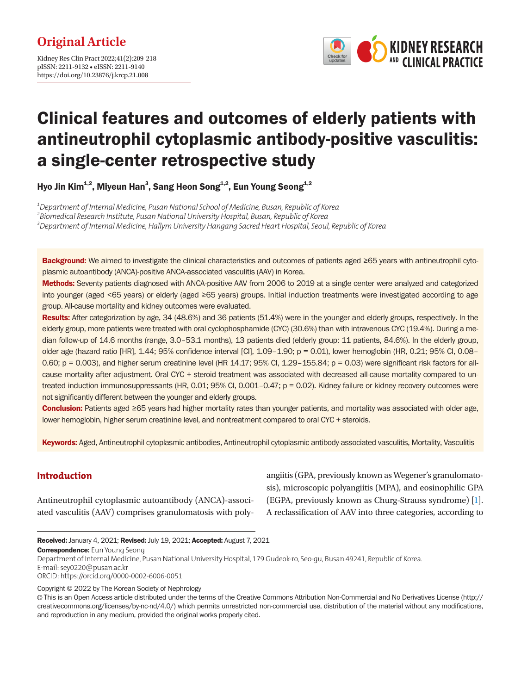

# Clinical features and outcomes of elderly patients with antineutrophil cytoplasmic antibody-positive vasculitis: a single-center retrospective study

Hyo Jin Kim<sup>1,2</sup>, Miyeun Han<sup>3</sup>, Sang Heon Song<sup>1,2</sup>, Eun Young Seong<sup>1,2</sup>

*1 Department of Internal Medicine, Pusan National School of Medicine, Busan, Republic of Korea 2 Biomedical Research Institute, Pusan National University Hospital, Busan, Republic of Korea 3 Department of Internal Medicine, Hallym University Hangang Sacred Heart Hospital, Seoul, Republic of Korea*

Background: We aimed to investigate the clinical characteristics and outcomes of patients aged ≥65 years with antineutrophil cytoplasmic autoantibody (ANCA)-positive ANCA-associated vasculitis (AAV) in Korea.

Methods: Seventy patients diagnosed with ANCA-positive AAV from 2006 to 2019 at a single center were analyzed and categorized into younger (aged <65 years) or elderly (aged ≥65 years) groups. Initial induction treatments were investigated according to age group. All-cause mortality and kidney outcomes were evaluated.

Results: After categorization by age, 34 (48.6%) and 36 patients (51.4%) were in the younger and elderly groups, respectively. In the elderly group, more patients were treated with oral cyclophosphamide (CYC) (30.6%) than with intravenous CYC (19.4%). During a median follow-up of 14.6 months (range, 3.0–53.1 months), 13 patients died (elderly group: 11 patients, 84.6%). In the elderly group, older age (hazard ratio [HR], 1.44; 95% confidence interval [CI], 1.09–1.90; p = 0.01), lower hemoglobin (HR, 0.21; 95% CI, 0.08– 0.60; p = 0.003), and higher serum creatinine level (HR  $14.17$ ; 95% Cl,  $1.29-155.84$ ; p = 0.03) were significant risk factors for allcause mortality after adjustment. Oral CYC + steroid treatment was associated with decreased all-cause mortality compared to untreated induction immunosuppressants (HR, 0.01; 95% CI, 0.001–0.47; p = 0.02). Kidney failure or kidney recovery outcomes were not significantly different between the younger and elderly groups.

Conclusion: Patients aged ≥65 years had higher mortality rates than younger patients, and mortality was associated with older age, lower hemoglobin, higher serum creatinine level, and nontreatment compared to oral CYC + steroids.

Keywords: Aged, Antineutrophil cytoplasmic antibodies, Antineutrophil cytoplasmic antibody-associated vasculitis, Mortality, Vasculitis

# **Introduction**

Antineutrophil cytoplasmic autoantibody (ANCA)-associated vasculitis (AAV) comprises granulomatosis with poly-

angiitis (GPA, previously known as Wegener's granulomatosis), microscopic polyangiitis (MPA), and eosinophilic GPA (EGPA, previously known as Churg-Strauss syndrome) [\[1](#page-8-0)]. A reclassification of AAV into three categories, according to

Correspondence: Eun Young Seong

E-mail: sey0220@pusan.ac.kr

Copyright © 2022 by The Korean Society of Nephrology

Received: January 4, 2021; Revised: July 19, 2021; Accepted: August 7, 2021

Department of Internal Medicine, Pusan National University Hospital, 179 Gudeok-ro, Seo-gu, Busan 49241, Republic of Korea.

ORCID: https://orcid.org/0000-0002-6006-0051

This is an Open Access article distributed under the terms of the Creative Commons Attribution Non-Commercial and No Derivatives License (http:// creativecommons.org/licenses/by-nc-nd/4.0/) which permits unrestricted non-commercial use, distribution of the material without any modifications, and reproduction in any medium, provided the original works properly cited.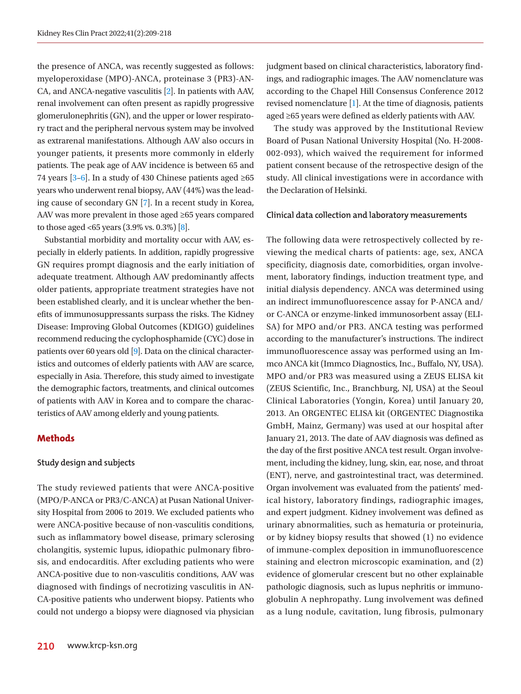the presence of ANCA, was recently suggested as follows: myeloperoxidase (MPO)-ANCA, proteinase 3 (PR3)-AN-CA, and ANCA-negative vasculitis [\[2](#page-8-1)]. In patients with AAV, renal involvement can often present as rapidly progressive glomerulonephritis (GN), and the upper or lower respiratory tract and the peripheral nervous system may be involved as extrarenal manifestations. Although AAV also occurs in younger patients, it presents more commonly in elderly patients. The peak age of AAV incidence is between 65 and 74 years  $[3-6]$  $[3-6]$ . In a study of 430 Chinese patients aged ≥65 years who underwent renal biopsy, AAV (44%) was the leading cause of secondary GN [\[7\]](#page-9-1). In a recent study in Korea, AAV was more prevalent in those aged ≥65 years compared to those aged <65 years  $(3.9\% \text{ vs. } 0.3\%)$  [\[8](#page-8-3)].

Substantial morbidity and mortality occur with AAV, especially in elderly patients. In addition, rapidly progressive GN requires prompt diagnosis and the early initiation of adequate treatment. Although AAV predominantly affects older patients, appropriate treatment strategies have not been established clearly, and it is unclear whether the benefits of immunosuppressants surpass the risks. The Kidney Disease: Improving Global Outcomes (KDIGO) guidelines recommend reducing the cyclophosphamide (CYC) dose in patients over 60 years old [\[9\]](#page-9-2). Data on the clinical characteristics and outcomes of elderly patients with AAV are scarce, especially in Asia. Therefore, this study aimed to investigate the demographic factors, treatments, and clinical outcomes of patients with AAV in Korea and to compare the characteristics of AAV among elderly and young patients.

## **Methods**

## **Study design and subjects**

The study reviewed patients that were ANCA-positive (MPO/P-ANCA or PR3/C-ANCA) at Pusan National University Hospital from 2006 to 2019. We excluded patients who were ANCA-positive because of non-vasculitis conditions, such as inflammatory bowel disease, primary sclerosing cholangitis, systemic lupus, idiopathic pulmonary fibrosis, and endocarditis. After excluding patients who were ANCA-positive due to non-vasculitis conditions, AAV was diagnosed with findings of necrotizing vasculitis in AN-CA-positive patients who underwent biopsy. Patients who could not undergo a biopsy were diagnosed via physician

The study was approved by the Institutional Review Board of Pusan National University Hospital (No. H-2008- 002-093), which waived the requirement for informed patient consent because of the retrospective design of the study. All clinical investigations were in accordance with the Declaration of Helsinki.

## **Clinical data collection and laboratory measurements**

The following data were retrospectively collected by reviewing the medical charts of patients: age, sex, ANCA specificity, diagnosis date, comorbidities, organ involvement, laboratory findings, induction treatment type, and initial dialysis dependency. ANCA was determined using an indirect immunofluorescence assay for P-ANCA and/ or C-ANCA or enzyme-linked immunosorbent assay (ELI-SA) for MPO and/or PR3. ANCA testing was performed according to the manufacturer's instructions. The indirect immunofluorescence assay was performed using an Immco ANCA kit (Immco Diagnostics, Inc., Buffalo, NY, USA). MPO and/or PR3 was measured using a ZEUS ELISA kit (ZEUS Scientific, Inc., Branchburg, NJ, USA) at the Seoul Clinical Laboratories (Yongin, Korea) until January 20, 2013. An ORGENTEC ELISA kit (ORGENTEC Diagnostika GmbH, Mainz, Germany) was used at our hospital after January 21, 2013. The date of AAV diagnosis was defined as the day of the first positive ANCA test result. Organ involvement, including the kidney, lung, skin, ear, nose, and throat (ENT), nerve, and gastrointestinal tract, was determined. Organ involvement was evaluated from the patients' medical history, laboratory findings, radiographic images, and expert judgment. Kidney involvement was defined as urinary abnormalities, such as hematuria or proteinuria, or by kidney biopsy results that showed (1) no evidence of immune-complex deposition in immunofluorescence staining and electron microscopic examination, and (2) evidence of glomerular crescent but no other explainable pathologic diagnosis, such as lupus nephritis or immunoglobulin A nephropathy. Lung involvement was defined as a lung nodule, cavitation, lung fibrosis, pulmonary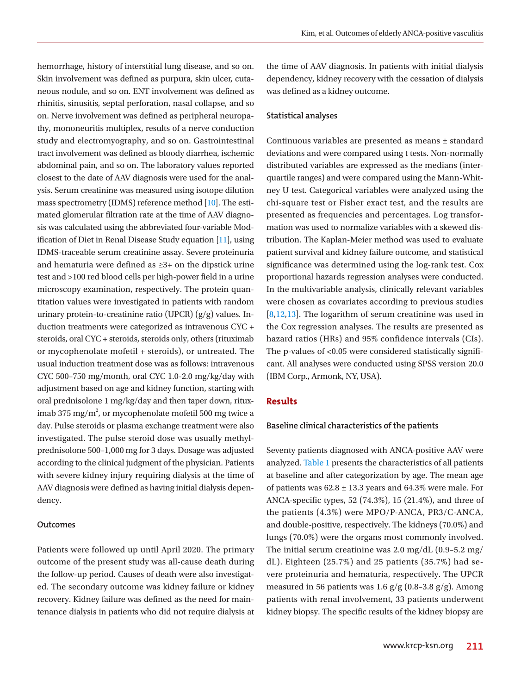hemorrhage, history of interstitial lung disease, and so on. Skin involvement was defined as purpura, skin ulcer, cutaneous nodule, and so on. ENT involvement was defined as rhinitis, sinusitis, septal perforation, nasal collapse, and so on. Nerve involvement was defined as peripheral neuropathy, mononeuritis multiplex, results of a nerve conduction study and electromyography, and so on. Gastrointestinal tract involvement was defined as bloody diarrhea, ischemic abdominal pain, and so on. The laboratory values reported closest to the date of AAV diagnosis were used for the analysis. Serum creatinine was measured using isotope dilution mass spectrometry (IDMS) reference method [\[10](#page-9-0)]. The estimated glomerular filtration rate at the time of AAV diagnosis was calculated using the abbreviated four-variable Modification of Diet in Renal Disease Study equation [\[11\]](#page-9-3), using IDMS-traceable serum creatinine assay. Severe proteinuria and hematuria were defined as ≥3+ on the dipstick urine test and >100 red blood cells per high-power field in a urine microscopy examination, respectively. The protein quantitation values were investigated in patients with random urinary protein-to-creatinine ratio (UPCR) (g/g) values. Induction treatments were categorized as intravenous CYC + steroids, oral CYC + steroids, steroids only, others (rituximab or mycophenolate mofetil + steroids), or untreated. The usual induction treatment dose was as follows: intravenous CYC 500–750 mg/month, oral CYC 1.0-2.0 mg/kg/day with adjustment based on age and kidney function, starting with oral prednisolone 1 mg/kg/day and then taper down, rituximab 375 mg/m<sup>2</sup>, or mycophenolate mofetil 500 mg twice a day. Pulse steroids or plasma exchange treatment were also investigated. The pulse steroid dose was usually methylprednisolone 500–1,000 mg for 3 days. Dosage was adjusted according to the clinical judgment of the physician. Patients with severe kidney injury requiring dialysis at the time of AAV diagnosis were defined as having initial dialysis dependency.

#### **Outcomes**

Patients were followed up until April 2020. The primary outcome of the present study was all-cause death during the follow-up period. Causes of death were also investigated. The secondary outcome was kidney failure or kidney recovery. Kidney failure was defined as the need for maintenance dialysis in patients who did not require dialysis at

the time of AAV diagnosis. In patients with initial dialysis dependency, kidney recovery with the cessation of dialysis was defined as a kidney outcome.

#### **Statistical analyses**

Continuous variables are presented as means ± standard deviations and were compared using t tests. Non-normally distributed variables are expressed as the medians (interquartile ranges) and were compared using the Mann-Whitney U test. Categorical variables were analyzed using the chi-square test or Fisher exact test, and the results are presented as frequencies and percentages. Log transformation was used to normalize variables with a skewed distribution. The Kaplan-Meier method was used to evaluate patient survival and kidney failure outcome, and statistical significance was determined using the log-rank test. Cox proportional hazards regression analyses were conducted. In the multivariable analysis, clinically relevant variables were chosen as covariates according to previous studies [8,[12](#page-9-4)[,13\]](#page-9-5). The logarithm of serum creatinine was used in the Cox regression analyses. The results are presented as hazard ratios (HRs) and 95% confidence intervals (CIs). The p-values of <0.05 were considered statistically significant. All analyses were conducted using SPSS version 20.0 (IBM Corp., Armonk, NY, USA).

#### **Results**

#### **Baseline clinical characteristics of the patients**

Seventy patients diagnosed with ANCA-positive AAV were analyzed. [Table 1](#page-3-0) presents the characteristics of all patients at baseline and after categorization by age. The mean age of patients was  $62.8 \pm 13.3$  years and  $64.3\%$  were male. For ANCA-specific types, 52 (74.3%), 15 (21.4%), and three of the patients (4.3%) were MPO/P-ANCA, PR3/C-ANCA, and double-positive, respectively. The kidneys (70.0%) and lungs (70.0%) were the organs most commonly involved. The initial serum creatinine was 2.0 mg/dL (0.9–5.2 mg/ dL). Eighteen (25.7%) and 25 patients (35.7%) had severe proteinuria and hematuria, respectively. The UPCR measured in 56 patients was 1.6  $g/g$  (0.8–3.8  $g/g$ ). Among patients with renal involvement, 33 patients underwent kidney biopsy. The specific results of the kidney biopsy are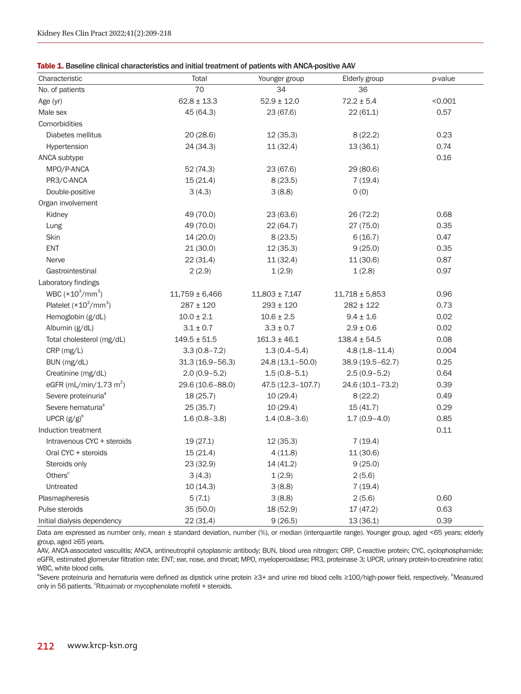<span id="page-3-0"></span>Table 1. Baseline clinical characteristics and initial treatment of patients with ANCA-positive AAV

| Characteristic                     | Total               | Younger group      | Elderly group      | p-value |
|------------------------------------|---------------------|--------------------|--------------------|---------|
| No. of patients                    | 70                  | 34                 | 36                 |         |
| Age (yr)                           | $62.8 \pm 13.3$     | $52.9 \pm 12.0$    | $72.2 \pm 5.4$     | < 0.001 |
| Male sex                           | 45 (64.3)           | 23 (67.6)          | 22(61.1)           | 0.57    |
| Comorbidities                      |                     |                    |                    |         |
| Diabetes mellitus                  | 20 (28.6)           | 12(35.3)           | 8(22.2)            | 0.23    |
| Hypertension                       | 24 (34.3)           | 11(32.4)           | 13(36.1)           | 0.74    |
| ANCA subtype                       |                     |                    |                    | 0.16    |
| MPO/P-ANCA                         | 52 (74.3)           | 23 (67.6)          | 29 (80.6)          |         |
| PR3/C-ANCA                         | 15(21.4)            | 8(23.5)            | 7(19.4)            |         |
| Double-positive                    | 3(4.3)              | 3(8.8)             | O(0)               |         |
| Organ involvement                  |                     |                    |                    |         |
| Kidney                             | 49 (70.0)           | 23(63.6)           | 26(72.2)           | 0.68    |
| Lung                               | 49 (70.0)           | 22(64.7)           | 27 (75.0)          | 0.35    |
| Skin                               | 14(20.0)            | 8(23.5)            | 6(16.7)            | 0.47    |
| <b>ENT</b>                         | 21(30.0)            | 12(35.3)           | 9(25.0)            | 0.35    |
| Nerve                              | 22(31.4)            | 11(32.4)           | 11(30.6)           | 0.87    |
| Gastrointestinal                   | 2(2.9)              | 1(2.9)             | 1(2.8)             | 0.97    |
| Laboratory findings                |                     |                    |                    |         |
| WBC $(\times 10^3/\text{mm}^3)$    | $11,759 \pm 6,466$  | $11,803 \pm 7,147$ | $11,718 \pm 5,853$ | 0.96    |
| Platelet $(x10^3/mm^3)$            | $287 \pm 120$       | $293 \pm 120$      | $282 \pm 122$      | 0.73    |
| Hemoglobin (g/dL)                  | $10.0 \pm 2.1$      | $10.6 \pm 2.5$     | $9.4 \pm 1.6$      | 0.02    |
| Albumin (g/dL)                     | $3.1 \pm 0.7$       | $3.3 \pm 0.7$      | $2.9 \pm 0.6$      | 0.02    |
| Total cholesterol (mg/dL)          | $149.5 \pm 51.5$    | $161.3 \pm 46.1$   | $138.4 \pm 54.5$   | 0.08    |
| CRP (mg/L)                         | $3.3(0.8 - 7.2)$    | $1.3(0.4 - 5.4)$   | $4.8(1.8 - 11.4)$  | 0.004   |
| BUN (mg/dL)                        | $31.3(16.9 - 56.3)$ | 24.8 (13.1-50.0)   | 38.9 (19.5-62.7)   | 0.25    |
| Creatinine (mg/dL)                 | $2.0(0.9-5.2)$      | $1.5(0.8 - 5.1)$   | $2.5(0.9 - 5.2)$   | 0.64    |
| eGFR (mL/min/1.73 m <sup>2</sup> ) | 29.6 (10.6-88.0)    | 47.5 (12.3-107.7)  | 24.6 (10.1-73.2)   | 0.39    |
| Severe proteinuria <sup>ª</sup>    | 18(25.7)            | 10(29.4)           | 8(22.2)            | 0.49    |
| Severe hematuria <sup>ª</sup>      | 25(35.7)            | 10(29.4)           | 15(41.7)           | 0.29    |
| UPCR $(g/g)^b$                     | $1.6(0.8 - 3.8)$    | $1.4(0.8-3.6)$     | $1.7(0.9-4.0)$     | 0.85    |
| Induction treatment                |                     |                    |                    | 0.11    |
| Intravenous CYC + steroids         | 19(27.1)            | 12(35.3)           | 7(19.4)            |         |
| Oral CYC + steroids                | 15(21.4)            | 4(11.8)            | 11(30.6)           |         |
| Steroids only                      | 23 (32.9)           | 14 (41.2)          | 9(25.0)            |         |
| Others <sup>c</sup>                | 3(4.3)              | 1(2.9)             | 2(5.6)             |         |
| Untreated                          | 10(14.3)            | 3(8.8)             | 7(19.4)            |         |
| Plasmapheresis                     | 5(7.1)              | 3(8.8)             | 2(5.6)             | 0.60    |
| Pulse steroids                     | 35(50.0)            | 18 (52.9)          | 17 (47.2)          | 0.63    |
| Initial dialysis dependency        | 22 (31.4)           | 9(26.5)            | 13(36.1)           | 0.39    |

Data are expressed as number only, mean ± standard deviation, number (%), or median (interquartile range). Younger group, aged <65 years; elderly group, aged ≥65 years.

AAV, ANCA-associated vasculitis; ANCA, antineutrophil cytoplasmic antibody; BUN, blood urea nitrogen; CRP, C-reactive protein; CYC, cyclophosphamide; eGFR, estimated glomerular filtration rate; ENT; ear, nose, and throat; MPO, myeloperoxidase; PR3, proteinase 3; UPCR, urinary protein-to-creatinine ratio; WBC, white blood cells.

<sup>a</sup>Severe proteinuria and hematuria were defined as dipstick urine protein ≥3+ and urine red blood cells ≥100/high-power field, respectively. <sup>b</sup>Measured only in 56 patients. <sup>c</sup>Rituximab or mycophenolate mofetil + steroids.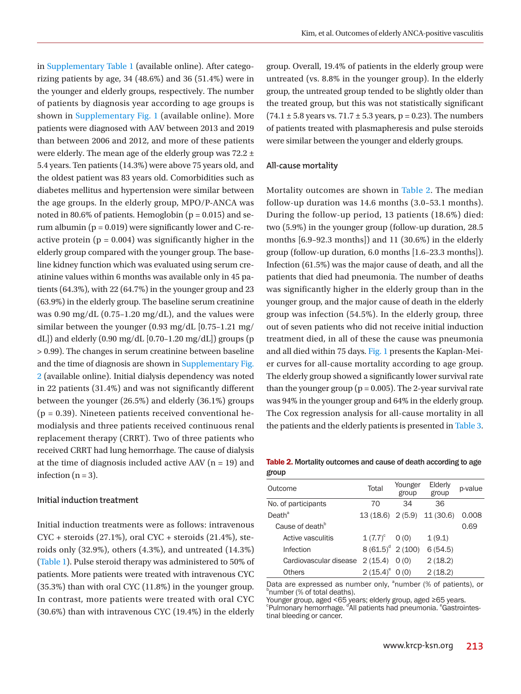in [Supplementary Table 1](https://www.krcp-ksn.org/upload/media/j-krcp-21-008suppl1.pdf) (available online). After categorizing patients by age, 34 (48.6%) and 36 (51.4%) were in the younger and elderly groups, respectively. The number of patients by diagnosis year according to age groups is shown in [Supplementary Fig. 1](https://www.krcp-ksn.org/upload/media/j-krcp-21-008suppl2.pdf) (available online). More patients were diagnosed with AAV between 2013 and 2019 than between 2006 and 2012, and more of these patients were elderly. The mean age of the elderly group was 72.2 ± 5.4 years. Ten patients (14.3%) were above 75 years old, and the oldest patient was 83 years old. Comorbidities such as diabetes mellitus and hypertension were similar between the age groups. In the elderly group, MPO/P-ANCA was noted in 80.6% of patients. Hemoglobin ( $p = 0.015$ ) and serum albumin ( $p = 0.019$ ) were significantly lower and C-reactive protein  $(p = 0.004)$  was significantly higher in the elderly group compared with the younger group. The baseline kidney function which was evaluated using serum creatinine values within 6 months was available only in 45 patients (64.3%), with 22 (64.7%) in the younger group and 23 (63.9%) in the elderly group. The baseline serum creatinine was  $0.90 \text{ mg/dL}$  (0.75–1.20 mg/dL), and the values were similar between the younger (0.93 mg/dL [0.75–1.21 mg/ dL]) and elderly  $(0.90 \text{ mg/dL} [0.70-1.20 \text{ mg/dL}])$  groups  $(p$ > 0.99). The changes in serum creatinine between baseline and the time of diagnosis are shown in [Supplementary Fig.](https://www.krcp-ksn.org/upload/media/j-krcp-21-008suppl3.pdf)  [2](https://www.krcp-ksn.org/upload/media/j-krcp-21-008suppl3.pdf) (available online). Initial dialysis dependency was noted in 22 patients (31.4%) and was not significantly different between the younger (26.5%) and elderly (36.1%) groups  $(p = 0.39)$ . Nineteen patients received conventional hemodialysis and three patients received continuous renal replacement therapy (CRRT). Two of three patients who received CRRT had lung hemorrhage. The cause of dialysis at the time of diagnosis included active AAV ( $n = 19$ ) and infection  $(n = 3)$ .

#### **Initial induction treatment**

Initial induction treatments were as follows: intravenous  $CYC +$  steroids  $(27.1\%)$ , oral  $CYC +$  steroids  $(21.4\%)$ , steroids only (32.9%), others (4.3%), and untreated (14.3%) [\(Table 1](#page-3-0)). Pulse steroid therapy was administered to 50% of patients. More patients were treated with intravenous CYC (35.3%) than with oral CYC (11.8%) in the younger group. In contrast, more patients were treated with oral CYC (30.6%) than with intravenous CYC (19.4%) in the elderly

group. Overall, 19.4% of patients in the elderly group were untreated (vs. 8.8% in the younger group). In the elderly group, the untreated group tended to be slightly older than the treated group, but this was not statistically significant  $(74.1 \pm 5.8 \text{ years vs. } 71.7 \pm 5.3 \text{ years}, p = 0.23)$ . The numbers of patients treated with plasmapheresis and pulse steroids were similar between the younger and elderly groups.

#### **All-cause mortality**

Mortality outcomes are shown in [Table 2](#page-4-0). The median follow-up duration was 14.6 months (3.0–53.1 months). During the follow-up period, 13 patients (18.6%) died: two (5.9%) in the younger group (follow-up duration, 28.5 months [6.9–92.3 months]) and 11 (30.6%) in the elderly group (follow-up duration, 6.0 months [1.6–23.3 months]). Infection (61.5%) was the major cause of death, and all the patients that died had pneumonia. The number of deaths was significantly higher in the elderly group than in the younger group, and the major cause of death in the elderly group was infection (54.5%). In the elderly group, three out of seven patients who did not receive initial induction treatment died, in all of these the cause was pneumonia and all died within 75 days. [Fig. 1](#page-5-0) presents the Kaplan-Meier curves for all-cause mortality according to age group. The elderly group showed a significantly lower survival rate than the younger group ( $p = 0.005$ ). The 2-year survival rate was 94% in the younger group and 64% in the elderly group. The Cox regression analysis for all-cause mortality in all the patients and the elderly patients is presented in [Table 3](#page-5-1).

<span id="page-4-0"></span>Table 2. Mortality outcomes and cause of death according to age group

| Outcome                     | Total                       | Younger<br>group | Elderly<br>group | p-value |
|-----------------------------|-----------------------------|------------------|------------------|---------|
| No. of participants         | 70                          | 34               | 36               |         |
| Death <sup>a</sup>          | 13 (18.6) 2 (5.9) 11 (30.6) |                  |                  | 0.008   |
| Cause of death <sup>b</sup> |                             |                  |                  | 0.69    |
| Active vasculitis           | $1(7.7)^{c}$                | O(0)             | 1(9.1)           |         |
| Infection                   | $8(61.5)^d$ 2 (100)         |                  | 6(54.5)          |         |
| Cardiovascular disease      | 2(15.4)                     | O(0)             | 2(18.2)          |         |
| Others                      | $2(15.4)^e$ 0(0)            |                  | 2(18.2)          |         |

Data are expressed as number only,  $^{\circ}$ number (% of patients), or  $^{\circ}$ number (% of total deaths).

Younger group, aged <65 years; elderly group, aged ≥65 years.

<sup>e</sup>Pulmonary hemorrhage. <sup>d</sup>All patients had pneumonia. <sup>e</sup>Gastrointes-<br>tinal bleeding or cancer.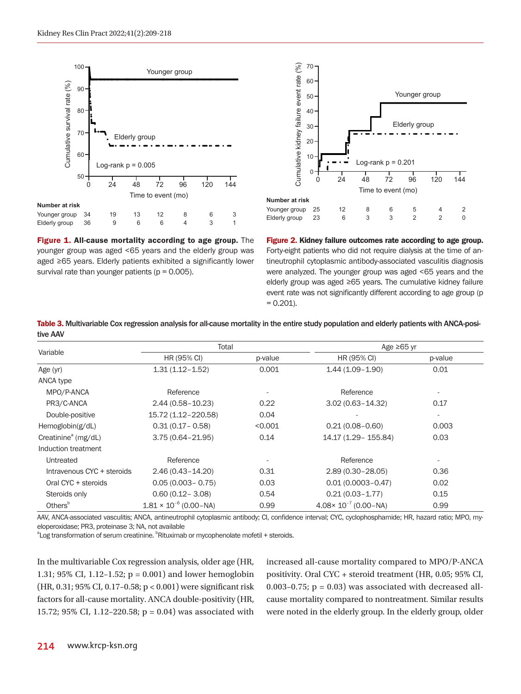<span id="page-5-0"></span>

Figure 1. All-cause mortality according to age group. The younger group was aged <65 years and the elderly group was aged ≥65 years. Elderly patients exhibited a significantly lower survival rate than younger patients ( $p = 0.005$ ).

<span id="page-5-2"></span>

Figure 2. Kidney failure outcomes rate according to age group. Forty-eight patients who did not require dialysis at the time of antineutrophil cytoplasmic antibody-associated vasculitis diagnosis were analyzed. The younger group was aged <65 years and the elderly group was aged ≥65 years. The cumulative kidney failure event rate was not significantly different according to age group (p  $= 0.201$ .

<span id="page-5-1"></span>Table 3. Multivariable Cox regression analysis for all-cause mortality in the entire study population and elderly patients with ANCA-positive AAV

| Variable                        | Total                           |                          |                                 | Age $\geq 65$ yr         |  |
|---------------------------------|---------------------------------|--------------------------|---------------------------------|--------------------------|--|
|                                 | HR (95% CI)                     | p-value                  | HR (95% CI)                     | p-value                  |  |
| Age (yr)                        | $1.31(1.12 - 1.52)$             | 0.001                    | $1.44(1.09 - 1.90)$             | 0.01                     |  |
| ANCA type                       |                                 |                          |                                 |                          |  |
| MPO/P-ANCA                      | Reference                       | $\overline{\phantom{a}}$ | Reference                       | ٠                        |  |
| PR3/C-ANCA                      | $2.44(0.58 - 10.23)$            | 0.22                     | $3.02(0.63 - 14.32)$            | 0.17                     |  |
| Double-positive                 | 15.72 (1.12-220.58)             | 0.04                     |                                 | $\overline{\phantom{a}}$ |  |
| Hemoglobin $(g/dL)$             | $0.31(0.17 - 0.58)$             | < 0.001                  | $0.21(0.08 - 0.60)$             | 0.003                    |  |
| Creatinine <sup>a</sup> (mg/dL) | $3.75(0.64 - 21.95)$            | 0.14                     | 14.17 (1.29 - 155.84)           | 0.03                     |  |
| Induction treatment             |                                 |                          |                                 |                          |  |
| Untreated                       | Reference                       |                          | Reference                       | $\overline{\phantom{a}}$ |  |
| Intravenous CYC + steroids      | $2.46(0.43 - 14.20)$            | 0.31                     | $2.89(0.30 - 28.05)$            | 0.36                     |  |
| Oral CYC + steroids             | $0.05(0.003 - 0.75)$            | 0.03                     | $0.01(0.0003 - 0.47)$           | 0.02                     |  |
| Steroids only                   | $0.60(0.12 - 3.08)$             | 0.54                     | $0.21(0.03 - 1.77)$             | 0.15                     |  |
| Others <sup>b</sup>             | $1.81 \times 10^{-6}$ (0.00-NA) | 0.99                     | $4.08 \times 10^{-7}$ (0.00-NA) | 0.99                     |  |

AAV, ANCA-associated vasculitis; ANCA, antineutrophil cytoplasmic antibody; CI, confidence interval; CYC, cyclophosphamide; HR, hazard ratio; MPO, myeloperoxidase; PR3, proteinase 3; NA, not available

<sup>a</sup>Log transformation of serum creatinine. <sup>b</sup>Rituximab or mycophenolate mofetil + steroids.

In the multivariable Cox regression analysis, older age (HR, 1.31; 95% CI, 1.12–1.52; p = 0.001) and lower hemoglobin (HR, 0.31; 95% CI, 0.17–0.58; p < 0.001) were significant risk factors for all-cause mortality. ANCA double-positivity (HR, 15.72; 95% CI, 1.12–220.58; p = 0.04) was associated with increased all-cause mortality compared to MPO/P-ANCA positivity. Oral CYC + steroid treatment (HR, 0.05; 95% CI, 0.003–0.75;  $p = 0.03$  was associated with decreased allcause mortality compared to nontreatment. Similar results were noted in the elderly group. In the elderly group, older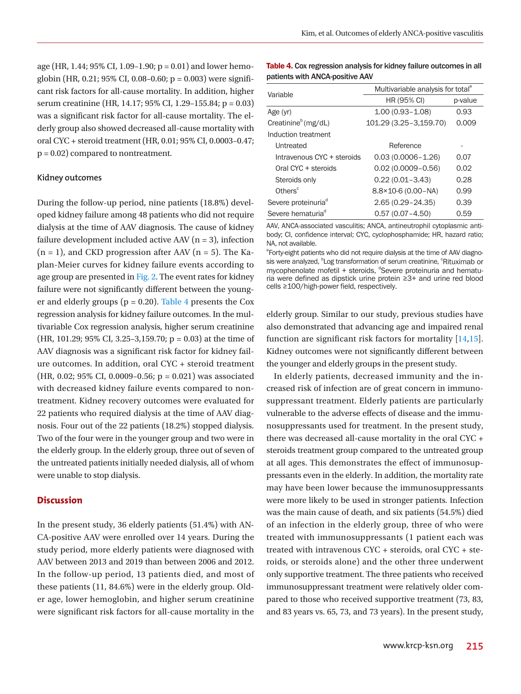age (HR, 1.44; 95% CI, 1.09–1.90;  $p = 0.01$ ) and lower hemoglobin (HR, 0.21; 95% CI, 0.08–0.60;  $p = 0.003$ ) were significant risk factors for all-cause mortality. In addition, higher serum creatinine (HR, 14.17; 95% CI, 1.29–155.84; p = 0.03) was a significant risk factor for all-cause mortality. The elderly group also showed decreased all-cause mortality with oral CYC + steroid treatment (HR, 0.01; 95% CI, 0.0003–0.47; p = 0.02) compared to nontreatment.

#### **Kidney outcomes**

During the follow-up period, nine patients (18.8%) developed kidney failure among 48 patients who did not require dialysis at the time of AAV diagnosis. The cause of kidney failure development included active AAV  $(n = 3)$ , infection  $(n = 1)$ , and CKD progression after AAV  $(n = 5)$ . The Kaplan-Meier curves for kidney failure events according to age group are presented in [Fig. 2.](#page-5-2) The event rates for kidney failure were not significantly different between the younger and elderly groups ( $p = 0.20$ ). [Table 4](#page-6-0) presents the Cox regression analysis for kidney failure outcomes. In the multivariable Cox regression analysis, higher serum creatinine (HR, 101.29; 95% CI, 3.25–3,159.70;  $p = 0.03$ ) at the time of AAV diagnosis was a significant risk factor for kidney failure outcomes. In addition, oral CYC + steroid treatment (HR, 0.02; 95% CI, 0.0009–0.56;  $p = 0.021$ ) was associated with decreased kidney failure events compared to nontreatment. Kidney recovery outcomes were evaluated for 22 patients who required dialysis at the time of AAV diagnosis. Four out of the 22 patients (18.2%) stopped dialysis. Two of the four were in the younger group and two were in the elderly group. In the elderly group, three out of seven of the untreated patients initially needed dialysis, all of whom were unable to stop dialysis.

## **Discussion**

In the present study, 36 elderly patients (51.4%) with AN-CA-positive AAV were enrolled over 14 years. During the study period, more elderly patients were diagnosed with AAV between 2013 and 2019 than between 2006 and 2012. In the follow-up period, 13 patients died, and most of these patients (11, 84.6%) were in the elderly group. Older age, lower hemoglobin, and higher serum creatinine were significant risk factors for all-cause mortality in the

<span id="page-6-0"></span>

| Table 4. Cox regression analysis for kidney failure outcomes in all |
|---------------------------------------------------------------------|
| patients with ANCA-positive AAV                                     |

| Variable                        | Multivariable analysis for total <sup>a</sup> |       |  |  |
|---------------------------------|-----------------------------------------------|-------|--|--|
|                                 | HR (95% CI)                                   |       |  |  |
| Age (yr)                        | $1.00(0.93 - 1.08)$                           | 0.93  |  |  |
| Creatinine <sup>b</sup> (mg/dL) | 101.29 (3.25-3,159.70)                        | 0.009 |  |  |
| Induction treatment             |                                               |       |  |  |
| Untreated                       | Reference                                     |       |  |  |
| Intravenous CYC + steroids      | $0.03(0.0006 - 1.26)$                         | 0.07  |  |  |
| $Oral CYC + steroids$           | $0.02(0.0009 - 0.56)$                         | 0.02  |  |  |
| Steroids only                   | $0.22(0.01 - 3.43)$                           | 0.28  |  |  |
| Others <sup>c</sup>             | $8.8 \times 10 - 6$ (0.00 - NA)               | 0.99  |  |  |
| Severe proteinuria <sup>d</sup> | 2.65 (0.29-24.35)                             | 0.39  |  |  |
| Severe hematuria <sup>d</sup>   | $0.57(0.07 - 4.50)$                           | 0.59  |  |  |

AAV, ANCA-associated vasculitis; ANCA, antineutrophil cytoplasmic antibody; CI, confidence interval; CYC, cyclophosphamide; HR, hazard ratio; NA, not available.

<sup>a</sup>Forty-eight patients who did not require dialysis at the time of AAV diagnosis were analyzed, <sup>b</sup>Log transformation of serum creatinine, <sup>c</sup>Rituximab or mycophenolate mofetil + steroids, dSevere proteinuria and hematuria were defined as dipstick urine protein ≥3+ and urine red blood cells ≥100/high-power field, respectively.

elderly group. Similar to our study, previous studies have also demonstrated that advancing age and impaired renal function are significant risk factors for mortality [\[14](#page-9-6)[,15](#page-9-4)]. Kidney outcomes were not significantly different between the younger and elderly groups in the present study.

In elderly patients, decreased immunity and the increased risk of infection are of great concern in immunosuppressant treatment. Elderly patients are particularly vulnerable to the adverse effects of disease and the immunosuppressants used for treatment. In the present study, there was decreased all-cause mortality in the oral CYC + steroids treatment group compared to the untreated group at all ages. This demonstrates the effect of immunosuppressants even in the elderly. In addition, the mortality rate may have been lower because the immunosuppressants were more likely to be used in stronger patients. Infection was the main cause of death, and six patients (54.5%) died of an infection in the elderly group, three of who were treated with immunosuppressants (1 patient each was treated with intravenous CYC + steroids, oral CYC + steroids, or steroids alone) and the other three underwent only supportive treatment. The three patients who received immunosuppressant treatment were relatively older compared to those who received supportive treatment (73, 83, and 83 years vs. 65, 73, and 73 years). In the present study,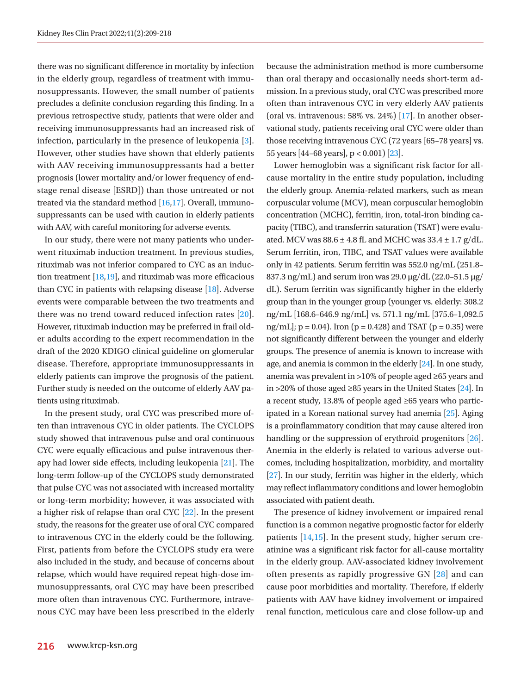there was no significant difference in mortality by infection in the elderly group, regardless of treatment with immunosuppressants. However, the small number of patients precludes a definite conclusion regarding this finding. In a previous retrospective study, patients that were older and receiving immunosuppressants had an increased risk of infection, particularly in the presence of leukopenia [3]. However, other studies have shown that elderly patients with AAV receiving immunosuppressants had a better prognosis (lower mortality and/or lower frequency of endstage renal disease [ESRD]) than those untreated or not treated via the standard method [\[16](#page-9-7)[,17\]](#page-9-5). Overall, immunosuppressants can be used with caution in elderly patients with AAV, with careful monitoring for adverse events.

In our study, there were not many patients who underwent rituximab induction treatment. In previous studies, rituximab was not inferior compared to CYC as an induction treatment [\[18](#page-9-8)[,19](#page-9-9)], and rituximab was more efficacious than CYC in patients with relapsing disease [\[18\]](#page-9-8). Adverse events were comparable between the two treatments and there was no trend toward reduced infection rates [\[20\]](#page-9-10). However, rituximab induction may be preferred in frail older adults according to the expert recommendation in the draft of the 2020 KDIGO clinical guideline on glomerular disease. Therefore, appropriate immunosuppressants in elderly patients can improve the prognosis of the patient. Further study is needed on the outcome of elderly AAV patients using rituximab.

In the present study, oral CYC was prescribed more often than intravenous CYC in older patients. The CYCLOPS study showed that intravenous pulse and oral continuous CYC were equally efficacious and pulse intravenous therapy had lower side effects, including leukopenia [[21\]](#page-9-11). The long-term follow-up of the CYCLOPS study demonstrated that pulse CYC was not associated with increased mortality or long-term morbidity; however, it was associated with a higher risk of relapse than oral CYC [\[22](#page-9-12)]. In the present study, the reasons for the greater use of oral CYC compared to intravenous CYC in the elderly could be the following. First, patients from before the CYCLOPS study era were also included in the study, and because of concerns about relapse, which would have required repeat high-dose immunosuppressants, oral CYC may have been prescribed more often than intravenous CYC. Furthermore, intravenous CYC may have been less prescribed in the elderly because the administration method is more cumbersome than oral therapy and occasionally needs short-term admission. In a previous study, oral CYC was prescribed more often than intravenous CYC in very elderly AAV patients (oral vs. intravenous: 58% vs. 24%) [\[17\]](#page-9-5). In another observational study, patients receiving oral CYC were older than those receiving intravenous CYC (72 years [65–78 years] vs. 55 years [44–68 years], p < 0.001) [\[23\]](#page-9-13).

Lower hemoglobin was a significant risk factor for allcause mortality in the entire study population, including the elderly group. Anemia-related markers, such as mean corpuscular volume (MCV), mean corpuscular hemoglobin concentration (MCHC), ferritin, iron, total-iron binding capacity (TIBC), and transferrin saturation (TSAT) were evaluated. MCV was  $88.6 \pm 4.8$  fL and MCHC was  $33.4 \pm 1.7$  g/dL. Serum ferritin, iron, TIBC, and TSAT values were available only in 42 patients. Serum ferritin was 552.0 ng/mL (251.8– 837.3 ng/mL) and serum iron was 29.0 μg/dL (22.0–51.5 μg/ dL). Serum ferritin was significantly higher in the elderly group than in the younger group (younger vs. elderly: 308.2 ng/mL [168.6–646.9 ng/mL] vs. 571.1 ng/mL [375.6–1,092.5 ng/mL];  $p = 0.04$ . Iron ( $p = 0.428$ ) and TSAT ( $p = 0.35$ ) were not significantly different between the younger and elderly groups. The presence of anemia is known to increase with age, and anemia is common in the elderly [\[24\]](#page-9-10). In one study, anemia was prevalent in >10% of people aged ≥65 years and in >20% of those aged ≥85 years in the United States [\[24](#page-9-10)]. In a recent study, 13.8% of people aged ≥65 years who participated in a Korean national survey had anemia [\[25](#page-9-14)]. Aging is a proinflammatory condition that may cause altered iron handling or the suppression of erythroid progenitors [\[26](#page-9-15)]. Anemia in the elderly is related to various adverse outcomes, including hospitalization, morbidity, and mortality [\[27\]](#page-9-16). In our study, ferritin was higher in the elderly, which may reflect inflammatory conditions and lower hemoglobin associated with patient death.

The presence of kidney involvement or impaired renal function is a common negative prognostic factor for elderly patients [14,15]. In the present study, higher serum creatinine was a significant risk factor for all-cause mortality in the elderly group. AAV-associated kidney involvement often presents as rapidly progressive GN [\[28\]](#page-9-17) and can cause poor morbidities and mortality. Therefore, if elderly patients with AAV have kidney involvement or impaired renal function, meticulous care and close follow-up and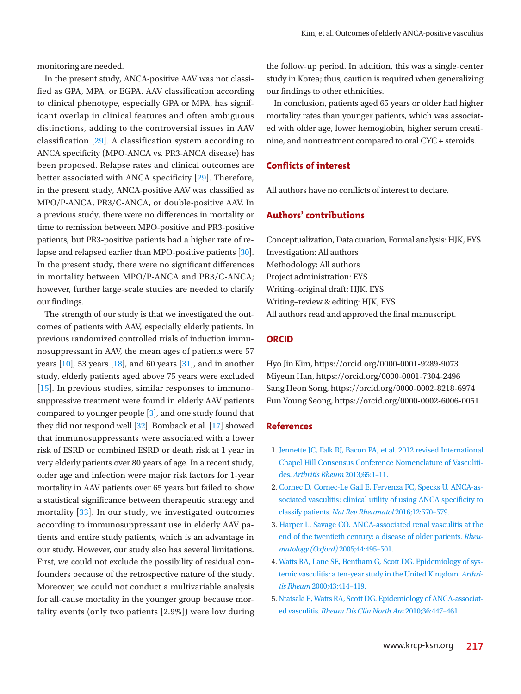monitoring are needed.

In the present study, ANCA-positive AAV was not classified as GPA, MPA, or EGPA. AAV classification according to clinical phenotype, especially GPA or MPA, has significant overlap in clinical features and often ambiguous distinctions, adding to the controversial issues in AAV classification [\[29\]](#page-9-18). A classification system according to ANCA specificity (MPO-ANCA vs. PR3-ANCA disease) has been proposed. Relapse rates and clinical outcomes are better associated with ANCA specificity [\[29\]](#page-9-18). Therefore, in the present study, ANCA-positive AAV was classified as MPO/P-ANCA, PR3/C-ANCA, or double-positive AAV. In a previous study, there were no differences in mortality or time to remission between MPO-positive and PR3-positive patients, but PR3-positive patients had a higher rate of relapse and relapsed earlier than MPO-positive patients [\[30\]](#page-9-19). In the present study, there were no significant differences in mortality between MPO/P-ANCA and PR3/C-ANCA; however, further large-scale studies are needed to clarify our findings.

The strength of our study is that we investigated the outcomes of patients with AAV, especially elderly patients. In previous randomized controlled trials of induction immunosuppressant in AAV, the mean ages of patients were 57 years  $[10]$ , 53 years  $[18]$ , and 60 years  $[31]$  $[31]$ , and in another study, elderly patients aged above 75 years were excluded [15]. In previous studies, similar responses to immunosuppressive treatment were found in elderly AAV patients compared to younger people [3], and one study found that they did not respond well [\[32](#page-9-21)]. Bomback et al. [17] showed that immunosuppressants were associated with a lower risk of ESRD or combined ESRD or death risk at 1 year in very elderly patients over 80 years of age. In a recent study, older age and infection were major risk factors for 1-year mortality in AAV patients over 65 years but failed to show a statistical significance between therapeutic strategy and mortality [\[33](#page-9-22)]. In our study, we investigated outcomes according to immunosuppressant use in elderly AAV patients and entire study patients, which is an advantage in our study. However, our study also has several limitations. First, we could not exclude the possibility of residual confounders because of the retrospective nature of the study. Moreover, we could not conduct a multivariable analysis for all-cause mortality in the younger group because mortality events (only two patients [2.9%]) were low during the follow-up period. In addition, this was a single-center study in Korea; thus, caution is required when generalizing our findings to other ethnicities.

In conclusion, patients aged 65 years or older had higher mortality rates than younger patients, which was associated with older age, lower hemoglobin, higher serum creatinine, and nontreatment compared to oral CYC + steroids.

# **Conflicts of interest**

All authors have no conflicts of interest to declare.

# **Authors' contributions**

Conceptualization, Data curation, Formal analysis: HJK, EYS Investigation: All authors Methodology: All authors Project administration: EYS Writing–original draft: HJK, EYS Writing–review & editing: HJK, EYS All authors read and approved the final manuscript.

## **ORCID**

Hyo Jin Kim, https://orcid.org/0000-0001-9289-9073 Miyeun Han, https://orcid.org/0000-0001-7304-2496 Sang Heon Song, https://orcid.org/0000-0002-8218-6974 Eun Young Seong, https://orcid.org/0000-0002-6006-0051

## <span id="page-8-2"></span>**References**

- <span id="page-8-0"></span>1. [Jennette JC, Falk RJ, Bacon PA, et al. 2012 revised International](https://www.ncbi.nlm.nih.gov/pubmed/23045170)  [Chapel Hill Consensus Conference Nomenclature of Vasculiti](https://www.ncbi.nlm.nih.gov/pubmed/23045170)des. *[Arthritis Rheum](https://www.ncbi.nlm.nih.gov/pubmed/23045170)* 2013;65:1–11.
- <span id="page-8-1"></span>2. [Cornec D, Cornec-Le Gall E, Fervenza FC, Specks U. ANCA-as](https://doi.org/10.1038/nrrheum.2016.123)[sociated vasculitis: clinical utility of using ANCA specificity to](https://doi.org/10.1038/nrrheum.2016.123)  classify patients. *[Nat Rev Rheumatol](https://doi.org/10.1038/nrrheum.2016.123)* 2016;12:570–579.
- 3. [Harper L, Savage CO. ANCA-associated renal vasculitis at the](https://doi.org/10.1093/rheumatology/keh522)  [end of the twentieth century: a disease of older patients.](https://doi.org/10.1093/rheumatology/keh522) *Rheu[matology \(Oxford\)](https://doi.org/10.1093/rheumatology/keh522)* 2005;44:495–501.
- <span id="page-8-3"></span>4[. Watts RA, Lane SE, Bentham G, Scott DG. Epidemiology of sys](https://doi.org/10.1002/1529-0131(200002)43)[temic vasculitis: a ten-year study in the United Kingdom.](https://doi.org/10.1002/1529-0131(200002)43) *Arthritis Rheum* [2000;43:414–419.](https://doi.org/10.1002/1529-0131(200002)43)
- 5. [Ntatsaki E, Watts RA, Scott DG. Epidemiology of ANCA-associat](https://doi.org/10.1016/j.rdc.2010.04.002)ed vasculitis. *[Rheum Dis Clin North Am](https://doi.org/10.1016/j.rdc.2010.04.002)* 2010;36:447–461.